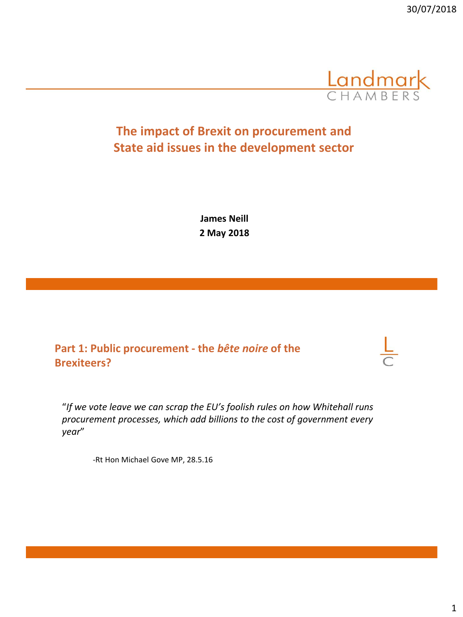

## **The impact of Brexit on procurement and State aid issues in the development sector**

**James Neill 2 May 2018**

## **Part 1: Public procurement - the** *bête noire* **of the Brexiteers?**

"*If we vote leave we can scrap the EU's foolish rules on how Whitehall runs procurement processes, which add billions to the cost of government every year*"

-Rt Hon Michael Gove MP, 28.5.16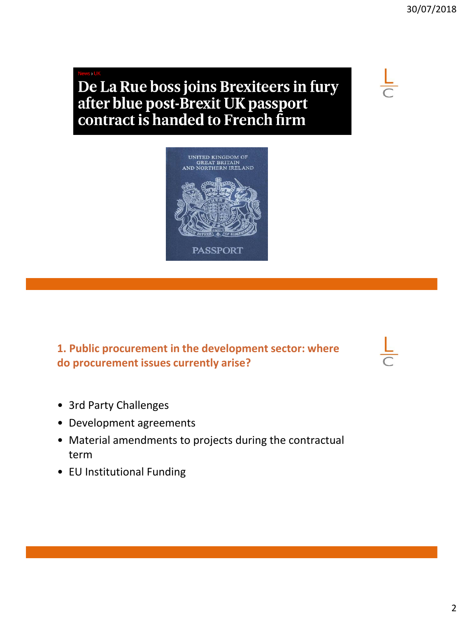# De La Rue boss joins Brexiteers in fury after blue post-Brexit UK passport contract is handed to French firm



**1. Public procurement in the development sector: where do procurement issues currently arise?**

- 3rd Party Challenges
- Development agreements
- Material amendments to projects during the contractual term
- EU Institutional Funding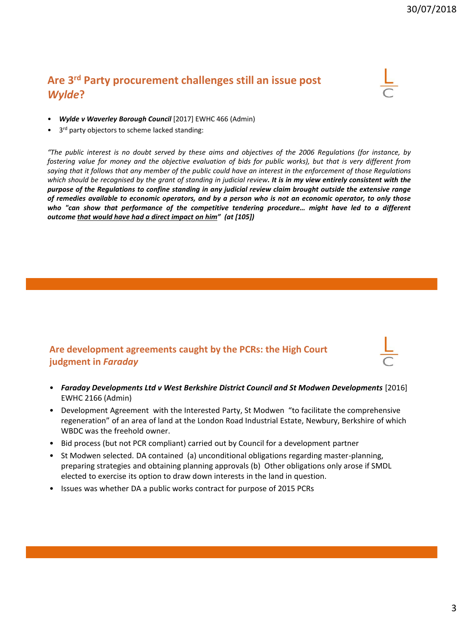## **Are 3rd Party procurement challenges still an issue post**  *Wylde***?**

- *Wylde v Waverley Borough Council* [2017] EWHC 466 (Admin)
- 3rd party objectors to scheme lacked standing:

"The public interest is no doubt served by these aims and objectives of the 2006 Regulations (for instance, by fostering value for money and the objective evaluation of bids for public works), but that is very different from saying that it follows that any member of the public could have an interest in the enforcement of those Regulations which should be recognised by the grant of standing in judicial review. It is in my view entirely consistent with the purpose of the Regulations to confine standing in any judicial review claim brought outside the extensive range of remedies available to economic operators, and by a person who is not an economic operator, to only those *who "can show that performance of the competitive tendering procedure… might have led to a different outcome that would have had a direct impact on him" (at [105])*

#### **Are development agreements caught by the PCRs: the High Court judgment in** *Faraday*

- *Faraday Developments Ltd v West Berkshire District Council and St Modwen Developments* [2016] EWHC 2166 (Admin)
- Development Agreement with the Interested Party, St Modwen "to facilitate the comprehensive regeneration" of an area of land at the London Road Industrial Estate, Newbury, Berkshire of which WBDC was the freehold owner.
- Bid process (but not PCR compliant) carried out by Council for a development partner
- St Modwen selected. DA contained (a) unconditional obligations regarding master-planning, preparing strategies and obtaining planning approvals (b) Other obligations only arose if SMDL elected to exercise its option to draw down interests in the land in question.
- Issues was whether DA a public works contract for purpose of 2015 PCRs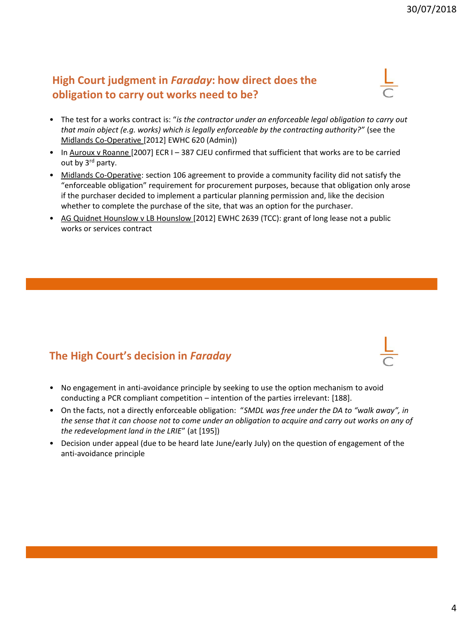## **High Court judgment in** *Faraday***: how direct does the obligation to carry out works need to be?**

- The test for a works contract is: "*is the contractor under an enforceable legal obligation to carry out that main object (e.g. works) which is legally enforceable by the contracting authority?"* (see the Midlands Co-Operative [2012] EWHC 620 (Admin))
- In Auroux v Roanne [2007] ECR I 387 CJEU confirmed that sufficient that works are to be carried out by 3<sup>rd</sup> party.
- Midlands Co-Operative: section 106 agreement to provide a community facility did not satisfy the "enforceable obligation" requirement for procurement purposes, because that obligation only arose if the purchaser decided to implement a particular planning permission and, like the decision whether to complete the purchase of the site, that was an option for the purchaser.
- AG Quidnet Hounslow v LB Hounslow [2012] EWHC 2639 (TCC): grant of long lease not a public works or services contract

## **The High Court's decision in** *Faraday*

- No engagement in anti-avoidance principle by seeking to use the option mechanism to avoid conducting a PCR compliant competition – intention of the parties irrelevant: [188].
- On the facts, not a directly enforceable obligation: "*SMDL was free under the DA to "walk away", in the sense that it can choose not to come under an obligation to acquire and carry out works on any of the redevelopment land in the LRIE*" (at [195])
- Decision under appeal (due to be heard late June/early July) on the question of engagement of the anti-avoidance principle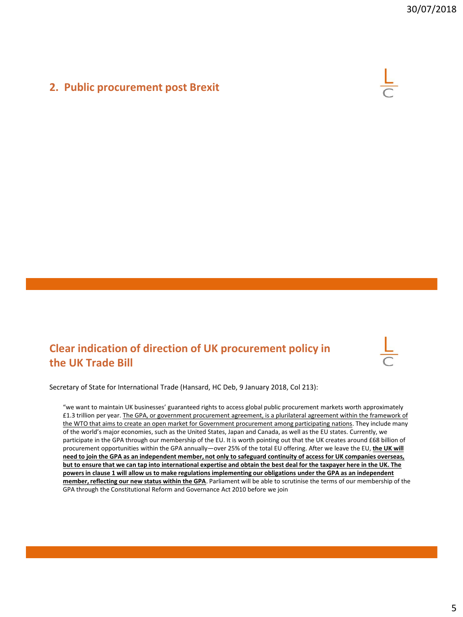### **2. Public procurement post Brexit**



## **Clear indication of direction of UK procurement policy in the UK Trade Bill**



Secretary of State for International Trade (Hansard, HC Deb, 9 January 2018, Col 213):

"we want to maintain UK businesses' guaranteed rights to access global public procurement markets worth approximately £1.3 trillion per year. The GPA, or government procurement agreement, is a plurilateral agreement within the framework of the WTO that aims to create an open market for Government procurement among participating nations. They include many of the world's major economies, such as the United States, Japan and Canada, as well as the EU states. Currently, we participate in the GPA through our membership of the EU. It is worth pointing out that the UK creates around £68 billion of procurement opportunities within the GPA annually—over 25% of the total EU offering. After we leave the EU, **the UK will need to join the GPA as an independent member, not only to safeguard continuity of access for UK companies overseas, but to ensure that we can tap into international expertise and obtain the best deal for the taxpayer here in the UK. The powers in clause 1 will allow us to make regulations implementing our obligations under the GPA as an independent member, reflecting our new status within the GPA**. Parliament will be able to scrutinise the terms of our membership of the GPA through the Constitutional Reform and Governance Act 2010 before we join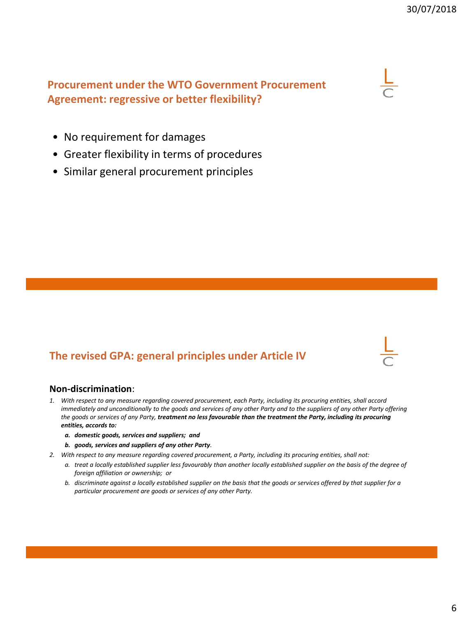## **Procurement under the WTO Government Procurement Agreement: regressive or better flexibility?**



- No requirement for damages
- Greater flexibility in terms of procedures
- Similar general procurement principles

## **The revised GPA: general principles under Article IV**



#### **Non-discrimination**:

- *1. With respect to any measure regarding covered procurement, each Party, including its procuring entities, shall accord immediately and unconditionally to the goods and services of any other Party and to the suppliers of any other Party offering the goods or services of any Party, treatment no less favourable than the treatment the Party, including its procuring entities, accords to:*
	- *a. domestic goods, services and suppliers; and*
	- *b. goods, services and suppliers of any other Party.*
- *2. With respect to any measure regarding covered procurement, a Party, including its procuring entities, shall not:*
	- *a. treat a locally established supplier less favourably than another locally established supplier on the basis of the degree of foreign affiliation or ownership; or*
	- *b. discriminate against a locally established supplier on the basis that the goods or services offered by that supplier for a particular procurement are goods or services of any other Party.*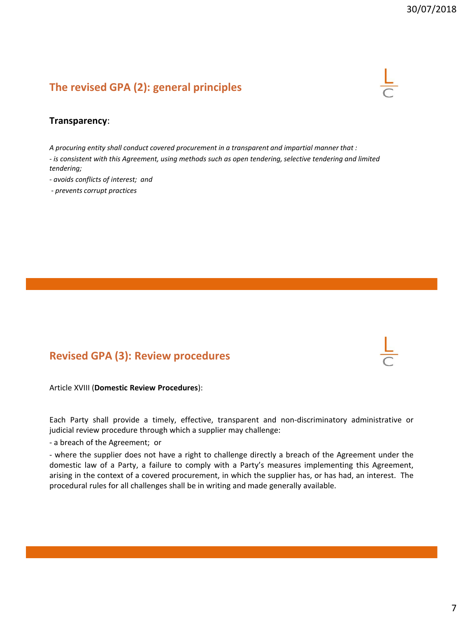## **The revised GPA (2): general principles**



#### **Transparency**:

*A procuring entity shall conduct covered procurement in a transparent and impartial manner that :*

*- is consistent with this Agreement, using methods such as open tendering, selective tendering and limited tendering;*

*- avoids conflicts of interest; and*

*- prevents corrupt practices*

## **Revised GPA (3): Review procedures**

Article XVIII (**Domestic Review Procedures**):

Each Party shall provide a timely, effective, transparent and non-discriminatory administrative or judicial review procedure through which a supplier may challenge:

- a breach of the Agreement; or

- where the supplier does not have a right to challenge directly a breach of the Agreement under the domestic law of a Party, a failure to comply with a Party's measures implementing this Agreement, arising in the context of a covered procurement, in which the supplier has, or has had, an interest. The procedural rules for all challenges shall be in writing and made generally available.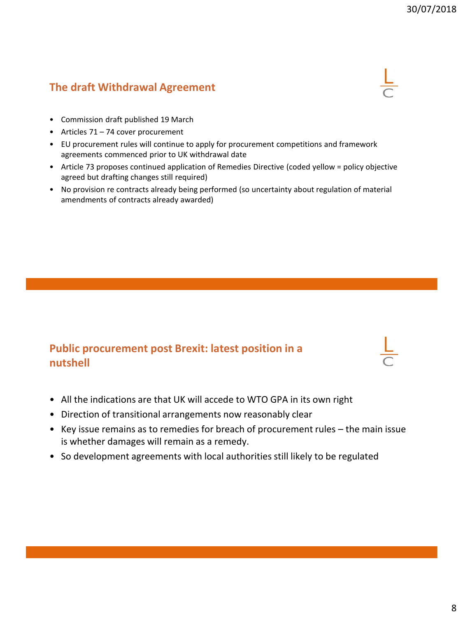## **The draft Withdrawal Agreement**



- Commission draft published 19 March
- Articles 71 74 cover procurement
- EU procurement rules will continue to apply for procurement competitions and framework agreements commenced prior to UK withdrawal date
- Article 73 proposes continued application of Remedies Directive (coded yellow = policy objective agreed but drafting changes still required)
- No provision re contracts already being performed (so uncertainty about regulation of material amendments of contracts already awarded)

## **Public procurement post Brexit: latest position in a nutshell**

- All the indications are that UK will accede to WTO GPA in its own right
- Direction of transitional arrangements now reasonably clear
- Key issue remains as to remedies for breach of procurement rules the main issue is whether damages will remain as a remedy.
- So development agreements with local authorities still likely to be regulated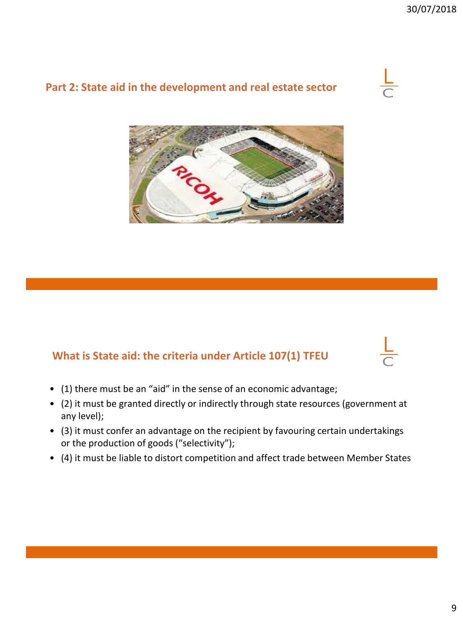## **Part 2: State aid in the development and real estate sector**



## **What is State aid: the criteria under Article 107(1) TFEU**

- (1) there must be an "aid" in the sense of an economic advantage;
- (2) it must be granted directly or indirectly through state resources (government at any level);
- (3) it must confer an advantage on the recipient by favouring certain undertakings or the production of goods ("selectivity");
- (4) it must be liable to distort competition and affect trade between Member States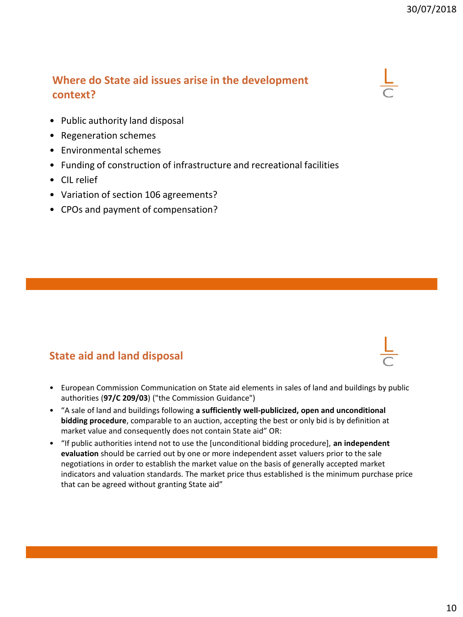## **Where do State aid issues arise in the development context?**

- Public authority land disposal
- Regeneration schemes
- Environmental schemes
- Funding of construction of infrastructure and recreational facilities
- CIL relief
- Variation of section 106 agreements?
- CPOs and payment of compensation?

## **State aid and land disposal**

- European Commission Communication on State aid elements in sales of land and buildings by public authorities (**97/C 209/03**) ("the Commission Guidance")
- "A sale of land and buildings following **a sufficiently well-publicized, open and unconditional bidding procedure**, comparable to an auction, accepting the best or only bid is by definition at market value and consequently does not contain State aid" OR:
- "If public authorities intend not to use the [unconditional bidding procedure], **an independent evaluation** should be carried out by one or more independent asset valuers prior to the sale negotiations in order to establish the market value on the basis of generally accepted market indicators and valuation standards. The market price thus established is the minimum purchase price that can be agreed without granting State aid"

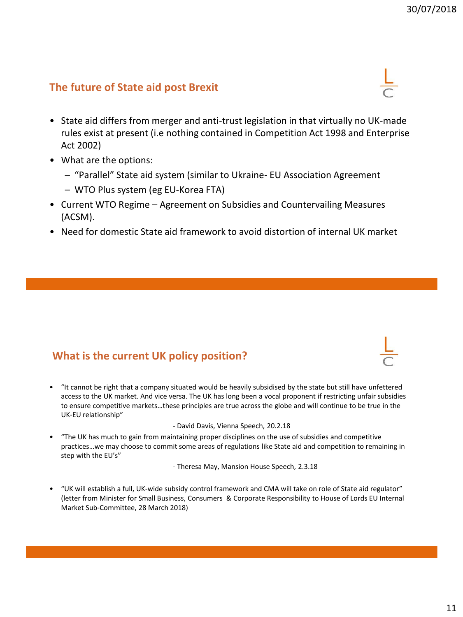## **The future of State aid post Brexit**

- State aid differs from merger and anti-trust legislation in that virtually no UK-made rules exist at present (i.e nothing contained in Competition Act 1998 and Enterprise Act 2002)
- What are the options:
	- "Parallel" State aid system (similar to Ukraine- EU Association Agreement
	- WTO Plus system (eg EU-Korea FTA)
- Current WTO Regime Agreement on Subsidies and Countervailing Measures (ACSM).
- Need for domestic State aid framework to avoid distortion of internal UK market

## **What is the current UK policy position?**

• "It cannot be right that a company situated would be heavily subsidised by the state but still have unfettered access to the UK market. And vice versa. The UK has long been a vocal proponent if restricting unfair subsidies to ensure competitive markets…these principles are true across the globe and will continue to be true in the UK-EU relationship"

- David Davis, Vienna Speech, 20.2.18

• "The UK has much to gain from maintaining proper disciplines on the use of subsidies and competitive practices…we may choose to commit some areas of regulations like State aid and competition to remaining in step with the EU's"

- Theresa May, Mansion House Speech, 2.3.18

• "UK will establish a full, UK-wide subsidy control framework and CMA will take on role of State aid regulator" (letter from Minister for Small Business, Consumers & Corporate Responsibility to House of Lords EU Internal Market Sub-Committee, 28 March 2018)